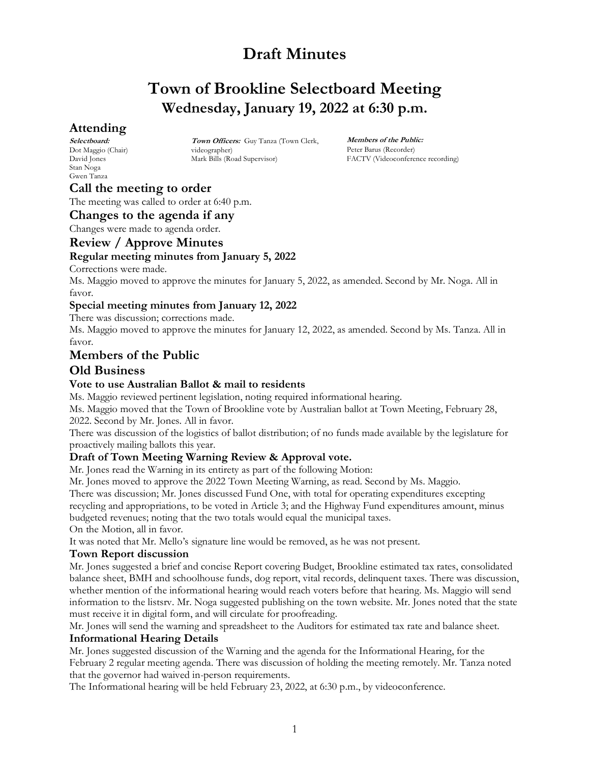# **Town of Brookline Selectboard Meeting Wednesday, January 19, 2022 at 6:30 p.m.**

# **Attending**

**Selectboard:** Dot Maggio (Chair) David Jones Stan Noga Gwen Tanza

**Town Officers:** Guy Tanza (Town Clerk, videographer) Mark Bills (Road Supervisor)

**Members of the Public:** Peter Barus (Recorder) FACTV (Videoconference recording)

# **Call the meeting to order**

The meeting was called to order at 6:40 p.m.

### **Changes to the agenda if any**

Changes were made to agenda order.

### **Review / Approve Minutes**

#### **Regular meeting minutes from January 5, 2022**

Corrections were made.

Ms. Maggio moved to approve the minutes for January 5, 2022, as amended. Second by Mr. Noga. All in favor.

#### **Special meeting minutes from January 12, 2022**

There was discussion; corrections made.

Ms. Maggio moved to approve the minutes for January 12, 2022, as amended. Second by Ms. Tanza. All in favor.

## **Members of the Public**

### **Old Business**

#### **Vote to use Australian Ballot & mail to residents**

Ms. Maggio reviewed pertinent legislation, noting required informational hearing.

Ms. Maggio moved that the Town of Brookline vote by Australian ballot at Town Meeting, February 28, 2022. Second by Mr. Jones. All in favor.

There was discussion of the logistics of ballot distribution; of no funds made available by the legislature for proactively mailing ballots this year.

#### **Draft of Town Meeting Warning Review & Approval vote.**

Mr. Jones read the Warning in its entirety as part of the following Motion:

Mr. Jones moved to approve the 2022 Town Meeting Warning, as read. Second by Ms. Maggio.

There was discussion; Mr. Jones discussed Fund One, with total for operating expenditures excepting recycling and appropriations, to be voted in Article 3; and the Highway Fund expenditures amount, minus

budgeted revenues; noting that the two totals would equal the municipal taxes. On the Motion, all in favor.

It was noted that Mr. Mello's signature line would be removed, as he was not present.

#### **Town Report discussion**

Mr. Jones suggested a brief and concise Report covering Budget, Brookline estimated tax rates, consolidated balance sheet, BMH and schoolhouse funds, dog report, vital records, delinquent taxes. There was discussion, whether mention of the informational hearing would reach voters before that hearing. Ms. Maggio will send information to the listsrv. Mr. Noga suggested publishing on the town website. Mr. Jones noted that the state must receive it in digital form, and will circulate for proofreading.

Mr. Jones will send the warning and spreadsheet to the Auditors for estimated tax rate and balance sheet. **Informational Hearing Details** 

Mr. Jones suggested discussion of the Warning and the agenda for the Informational Hearing, for the February 2 regular meeting agenda. There was discussion of holding the meeting remotely. Mr. Tanza noted that the governor had waived in-person requirements.

The Informational hearing will be held February 23, 2022, at 6:30 p.m., by videoconference.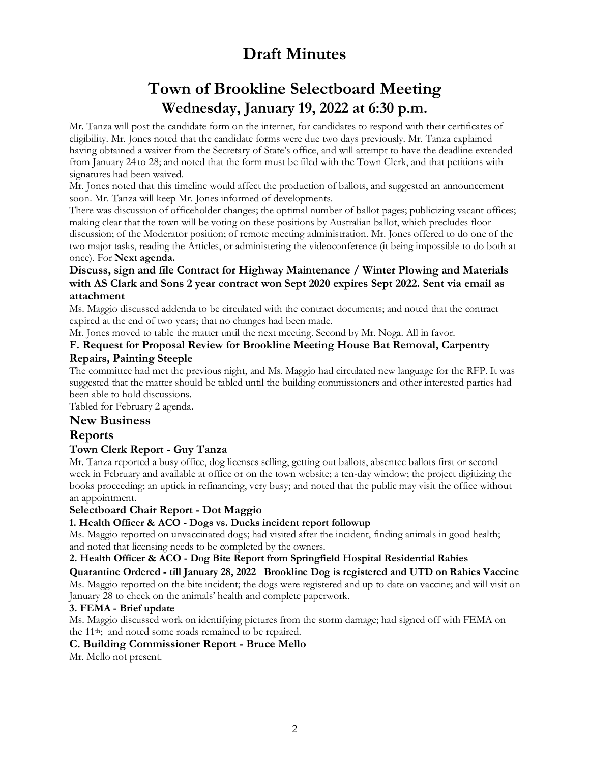# **Town of Brookline Selectboard Meeting Wednesday, January 19, 2022 at 6:30 p.m.**

Mr. Tanza will post the candidate form on the internet, for candidates to respond with their certificates of eligibility. Mr. Jones noted that the candidate forms were due two days previously. Mr. Tanza explained having obtained a waiver from the Secretary of State's office, and will attempt to have the deadline extended from January 24 to 28; and noted that the form must be filed with the Town Clerk, and that petitions with signatures had been waived.

Mr. Jones noted that this timeline would affect the production of ballots, and suggested an announcement soon. Mr. Tanza will keep Mr. Jones informed of developments.

There was discussion of officeholder changes; the optimal number of ballot pages; publicizing vacant offices; making clear that the town will be voting on these positions by Australian ballot, which precludes floor discussion; of the Moderator position; of remote meeting administration. Mr. Jones offered to do one of the two major tasks, reading the Articles, or administering the videoconference (it being impossible to do both at once). For **Next agenda.**

#### **Discuss, sign and file Contract for Highway Maintenance / Winter Plowing and Materials with AS Clark and Sons 2 year contract won Sept 2020 expires Sept 2022. Sent via email as attachment**

Ms. Maggio discussed addenda to be circulated with the contract documents; and noted that the contract expired at the end of two years; that no changes had been made.

Mr. Jones moved to table the matter until the next meeting. Second by Mr. Noga. All in favor.

#### **F. Request for Proposal Review for Brookline Meeting House Bat Removal, Carpentry Repairs, Painting Steeple**

The committee had met the previous night, and Ms. Maggio had circulated new language for the RFP. It was suggested that the matter should be tabled until the building commissioners and other interested parties had been able to hold discussions.

Tabled for February 2 agenda.

## **New Business**

## **Reports**

## **Town Clerk Report - Guy Tanza**

Mr. Tanza reported a busy office, dog licenses selling, getting out ballots, absentee ballots first or second week in February and available at office or on the town website; a ten-day window; the project digitizing the books proceeding; an uptick in refinancing, very busy; and noted that the public may visit the office without an appointment.

### **Selectboard Chair Report - Dot Maggio**

### **1. Health Officer & ACO - Dogs vs. Ducks incident report followup**

Ms. Maggio reported on unvaccinated dogs; had visited after the incident, finding animals in good health; and noted that licensing needs to be completed by the owners.

### **2. Health Officer & ACO - Dog Bite Report from Springfield Hospital Residential Rabies**

**Quarantine Ordered - till January 28, 2022 Brookline Dog is registered and UTD on Rabies Vaccine** Ms. Maggio reported on the bite incident; the dogs were registered and up to date on vaccine; and will visit on January 28 to check on the animals' health and complete paperwork.

### **3. FEMA - Brief update**

Ms. Maggio discussed work on identifying pictures from the storm damage; had signed off with FEMA on the 11<sup>th</sup>; and noted some roads remained to be repaired.

### **C. Building Commissioner Report - Bruce Mello**

Mr. Mello not present.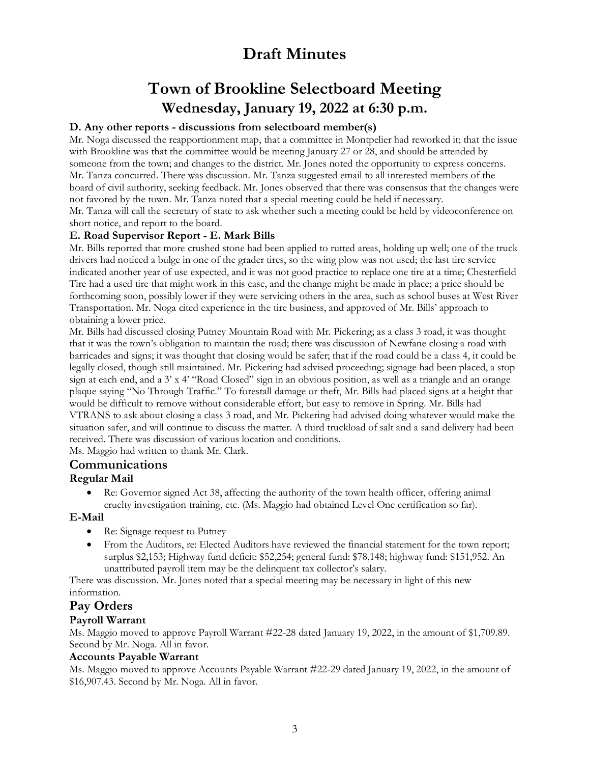# **Town of Brookline Selectboard Meeting Wednesday, January 19, 2022 at 6:30 p.m.**

### **D. Any other reports - discussions from selectboard member(s)**

Mr. Noga discussed the reapportionment map, that a committee in Montpelier had reworked it; that the issue with Brookline was that the committee would be meeting January 27 or 28, and should be attended by someone from the town; and changes to the district. Mr. Jones noted the opportunity to express concerns. Mr. Tanza concurred. There was discussion. Mr. Tanza suggested email to all interested members of the board of civil authority, seeking feedback. Mr. Jones observed that there was consensus that the changes were not favored by the town. Mr. Tanza noted that a special meeting could be held if necessary. Mr. Tanza will call the secretary of state to ask whether such a meeting could be held by videoconference on short notice, and report to the board.

### **E. Road Supervisor Report - E. Mark Bills**

Mr. Bills reported that more crushed stone had been applied to rutted areas, holding up well; one of the truck drivers had noticed a bulge in one of the grader tires, so the wing plow was not used; the last tire service indicated another year of use expected, and it was not good practice to replace one tire at a time; Chesterfield Tire had a used tire that might work in this case, and the change might be made in place; a price should be forthcoming soon, possibly lower if they were servicing others in the area, such as school buses at West River Transportation. Mr. Noga cited experience in the tire business, and approved of Mr. Bills' approach to obtaining a lower price.

Mr. Bills had discussed closing Putney Mountain Road with Mr. Pickering; as a class 3 road, it was thought that it was the town's obligation to maintain the road; there was discussion of Newfane closing a road with barricades and signs; it was thought that closing would be safer; that if the road could be a class 4, it could be legally closed, though still maintained. Mr. Pickering had advised proceeding; signage had been placed, a stop sign at each end, and a 3' x 4' "Road Closed" sign in an obvious position, as well as a triangle and an orange plaque saying "No Through Traffic." To forestall damage or theft, Mr. Bills had placed signs at a height that would be difficult to remove without considerable effort, but easy to remove in Spring. Mr. Bills had VTRANS to ask about closing a class 3 road, and Mr. Pickering had advised doing whatever would make the situation safer, and will continue to discuss the matter. A third truckload of salt and a sand delivery had been received. There was discussion of various location and conditions.

Ms. Maggio had written to thank Mr. Clark.

### **Communications**

### **Regular Mail**

• Re: Governor signed Act 38, affecting the authority of the town health officer, offering animal cruelty investigation training, etc. (Ms. Maggio had obtained Level One certification so far).

### **E-Mail**

- Re: Signage request to Putney
- From the Auditors, re: Elected Auditors have reviewed the financial statement for the town report; surplus \$2,153; Highway fund deficit: \$52,254; general fund: \$78,148; highway fund: \$151,952. An unattributed payroll item may be the delinquent tax collector's salary.

There was discussion. Mr. Jones noted that a special meeting may be necessary in light of this new information.

## **Pay Orders**

### **Payroll Warrant**

Ms. Maggio moved to approve Payroll Warrant #22-28 dated January 19, 2022, in the amount of \$1,709.89. Second by Mr. Noga. All in favor.

### **Accounts Payable Warrant**

Ms. Maggio moved to approve Accounts Payable Warrant #22-29 dated January 19, 2022, in the amount of \$16,907.43. Second by Mr. Noga. All in favor.